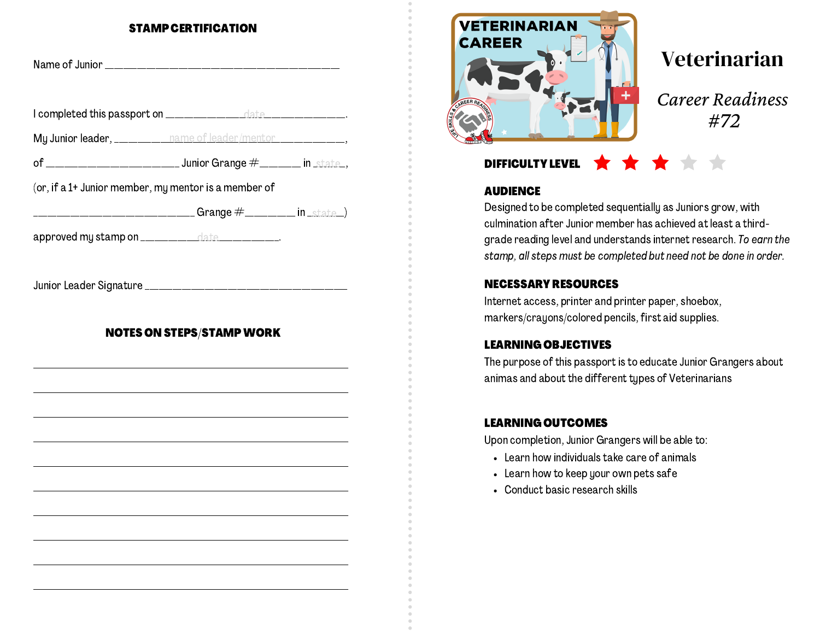#### STAMP CERTIFICATION

| My Junior leader, __________ name of leader/mentor _____________________________                                                                     |  |  |
|------------------------------------------------------------------------------------------------------------------------------------------------------|--|--|
|                                                                                                                                                      |  |  |
| (or, if a 1+ Junior member, my mentor is a member of                                                                                                 |  |  |
| ____________________________________Grange #___________ in _state_)                                                                                  |  |  |
| approved my stamp on _____________date ____________.                                                                                                 |  |  |
| <b>NOTES ON STEPS/STAMP WORK</b><br>and the control of the control of the control of the control of the control of the control of the control of the |  |  |
|                                                                                                                                                      |  |  |
|                                                                                                                                                      |  |  |
|                                                                                                                                                      |  |  |



# Veterinarian

*Career Readiness #72*

## DIFFICULTY LEVEL **THE**

#### **AUDIENCE**

Designed to be completed sequentially as Juniors grow, with culmination after Junior member has achieved at least a thirdgrade reading level and understands internet research. To earn the stamp, all steps must be completed but need not be done in order.

### NECESSARY RESOURCES

Internet access, printer and printer paper, shoebox, markers/crayons/colored pencils, first aid supplies.

### LEARNING OBJECTIVES

The purpose of this passport is to educate Junior Grangers about animas and about the different types of Veterinarians

### LEARNING OUTCOMES

Upon completion, Junior Grangers will be able to:

- Learn how individuals take care of animals
- Learn how to keep your own pets safe
- Conduct basic research skills